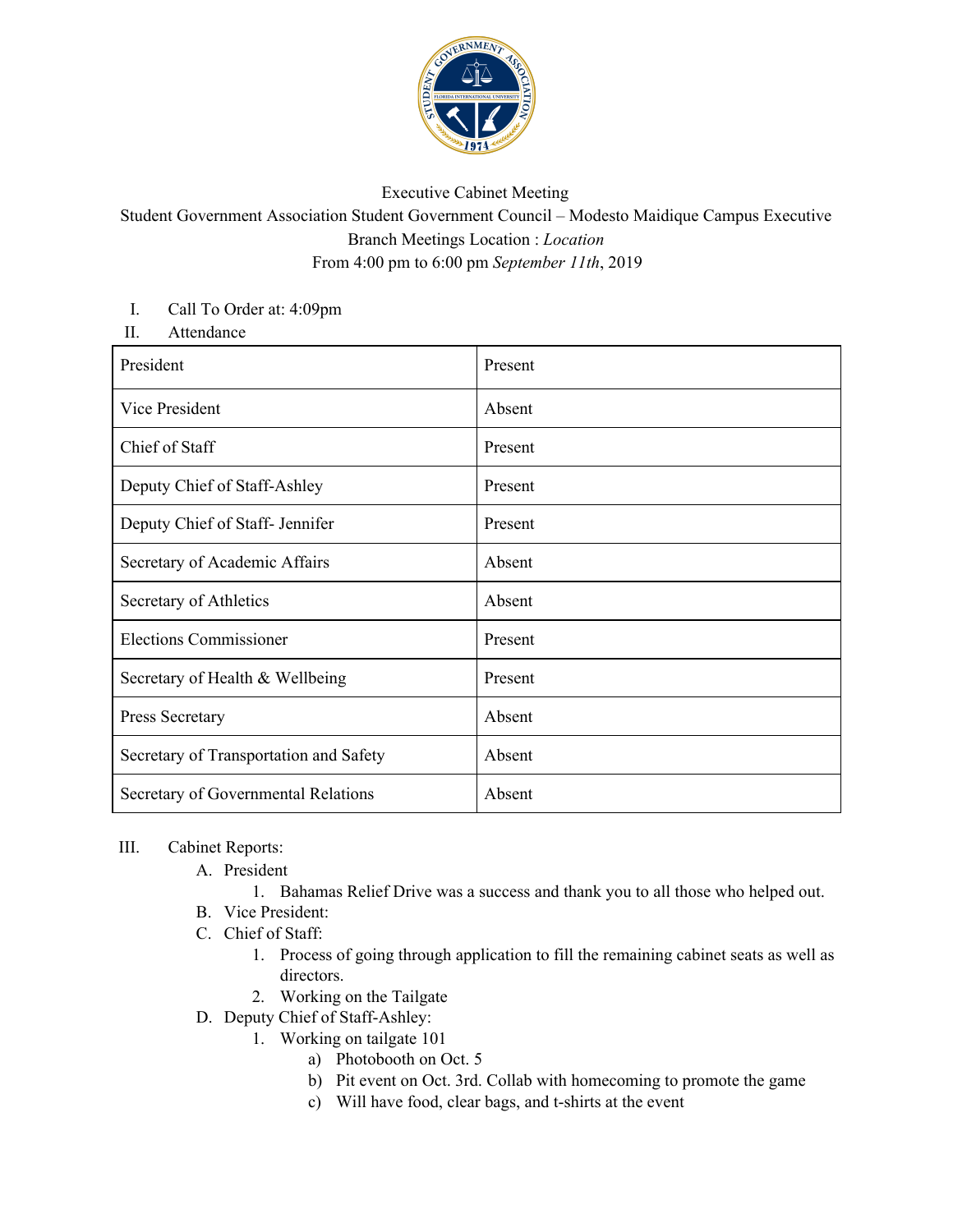

## Executive Cabinet Meeting

Student Government Association Student Government Council – Modesto Maidique Campus Executive Branch Meetings Location : *Location* From 4:00 pm to 6:00 pm *September 11th*, 2019

## I. Call To Order at: 4:09pm

II. Attendance

| President                              | Present |
|----------------------------------------|---------|
| Vice President                         | Absent  |
| Chief of Staff                         | Present |
| Deputy Chief of Staff-Ashley           | Present |
| Deputy Chief of Staff- Jennifer        | Present |
| Secretary of Academic Affairs          | Absent  |
| Secretary of Athletics                 | Absent  |
| <b>Elections Commissioner</b>          | Present |
| Secretary of Health & Wellbeing        | Present |
| Press Secretary                        | Absent  |
| Secretary of Transportation and Safety | Absent  |
| Secretary of Governmental Relations    | Absent  |

## III. Cabinet Reports:

- A. President
	- 1. Bahamas Relief Drive was a success and thank you to all those who helped out.
- B. Vice President:
- C. Chief of Staff:
	- 1. Process of going through application to fill the remaining cabinet seats as well as directors.
	- 2. Working on the Tailgate
- D. Deputy Chief of Staff-Ashley:
	- 1. Working on tailgate 101
		- a) Photobooth on Oct. 5
		- b) Pit event on Oct. 3rd. Collab with homecoming to promote the game
		- c) Will have food, clear bags, and t-shirts at the event